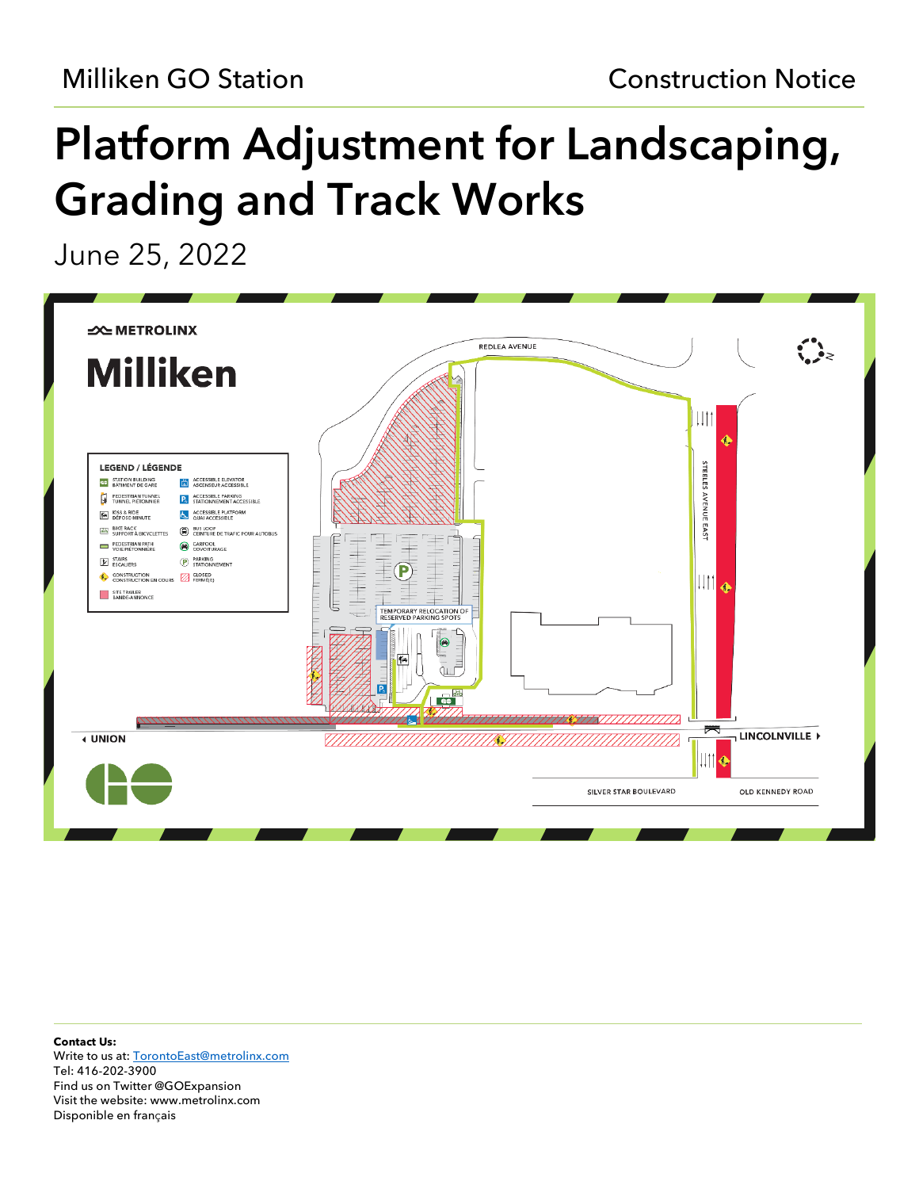# Platform Adjustment for Landscaping, Grading and Track Works

June 25, 2022